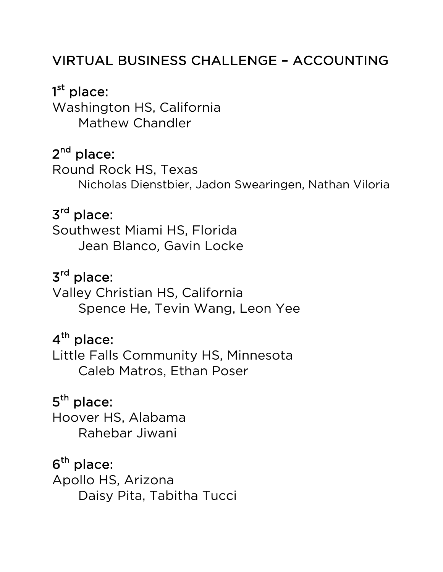### VIRTUAL BUSINESS CHALLENGE – ACCOUNTING

# 1<sup>st</sup> place:

Washington HS, California Mathew Chandler

### 2<sup>nd</sup> place:

Round Rock HS, Texas Nicholas Dienstbier, Jadon Swearingen, Nathan Viloria

#### 3rd place:

Southwest Miami HS, Florida Jean Blanco, Gavin Locke

### 3rd place:

Valley Christian HS, California Spence He, Tevin Wang, Leon Yee

### $4<sup>th</sup>$  place:

Little Falls Community HS, Minnesota Caleb Matros, Ethan Poser

### 5<sup>th</sup> place:

Hoover HS, Alabama Rahebar Jiwani

 $6<sup>th</sup>$  place: Apollo HS, Arizona Daisy Pita, Tabitha Tucci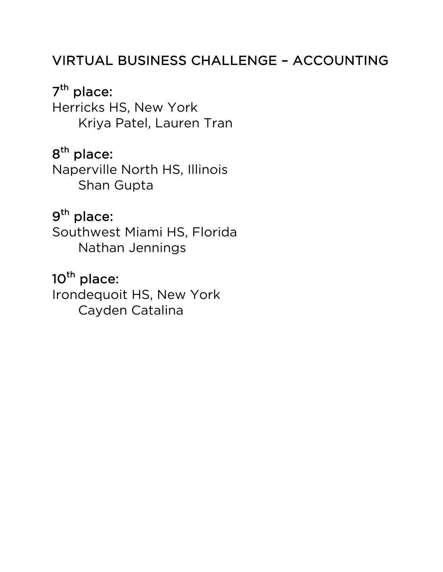### VIRTUAL BUSINESS CHALLENGE – ACCOUNTING

#### 7<sup>th</sup> place:

Herricks HS, New York Kriya Patel, Lauren Tran

### 8<sup>th</sup> place:

Naperville North HS, Illinois Shan Gupta

### 9th place:

Southwest Miami HS, Florida Nathan Jennings

### 10<sup>th</sup> place:

Irondequoit HS, New York Cayden Catalina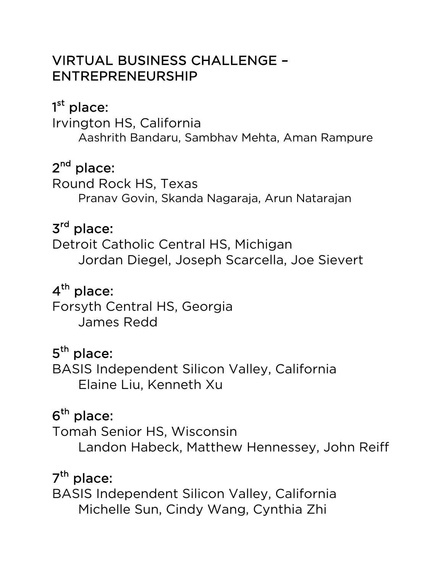#### VIRTUAL BUSINESS CHALLENGE – ENTREPRENEURSHIP

### 1<sup>st</sup> place:

Irvington HS, California Aashrith Bandaru, Sambhav Mehta, Aman Rampure

### 2<sup>nd</sup> place:

Round Rock HS, Texas Pranav Govin, Skanda Nagaraja, Arun Natarajan

### 3rd place:

Detroit Catholic Central HS, Michigan Jordan Diegel, Joseph Scarcella, Joe Sievert

### 4<sup>th</sup> place:

Forsyth Central HS, Georgia James Redd

### 5<sup>th</sup> place:

BASIS Independent Silicon Valley, California Elaine Liu, Kenneth Xu

### $6<sup>th</sup>$  place:

Tomah Senior HS, Wisconsin Landon Habeck, Matthew Hennessey, John Reiff

### $7<sup>th</sup>$  place:

BASIS Independent Silicon Valley, California Michelle Sun, Cindy Wang, Cynthia Zhi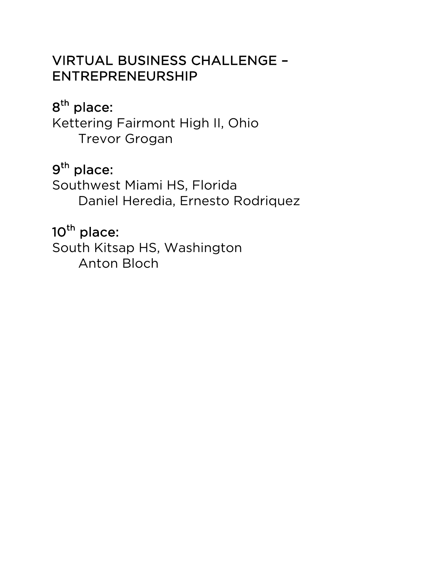#### VIRTUAL BUSINESS CHALLENGE – ENTREPRENEURSHIP

### 8<sup>th</sup> place:

Kettering Fairmont High II, Ohio Trevor Grogan

### 9th place:

Southwest Miami HS, Florida Daniel Heredia, Ernesto Rodriquez

# 10<sup>th</sup> place:

South Kitsap HS, Washington Anton Bloch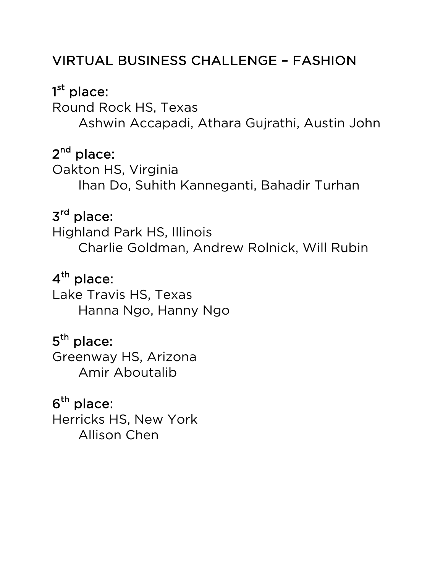#### VIRTUAL BUSINESS CHALLENGE – FASHION

### 1<sup>st</sup> place:

Round Rock HS, Texas Ashwin Accapadi, Athara Gujrathi, Austin John

### 2<sup>nd</sup> place:

Oakton HS, Virginia Ihan Do, Suhith Kanneganti, Bahadir Turhan

### 3rd place:

Highland Park HS, Illinois Charlie Goldman, Andrew Rolnick, Will Rubin

### 4<sup>th</sup> place:

Lake Travis HS, Texas Hanna Ngo, Hanny Ngo

### 5<sup>th</sup> place:

Greenway HS, Arizona Amir Aboutalib

### $6<sup>th</sup>$  place:

Herricks HS, New York Allison Chen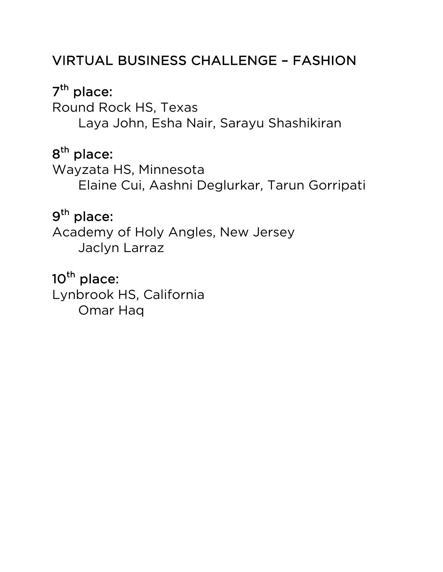### VIRTUAL BUSINESS CHALLENGE – FASHION

### 7<sup>th</sup> place:

Round Rock HS, Texas Laya John, Esha Nair, Sarayu Shashikiran

### 8<sup>th</sup> place:

Wayzata HS, Minnesota Elaine Cui, Aashni Deglurkar, Tarun Gorripati

### 9th place:

Academy of Holy Angles, New Jersey Jaclyn Larraz

### 10<sup>th</sup> place:

Lynbrook HS, California Omar Haq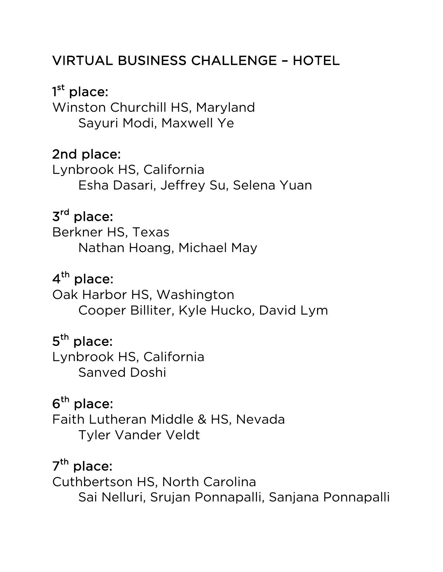### VIRTUAL BUSINESS CHALLENGE – HOTEL

1<sup>st</sup> place: Winston Churchill HS, Maryland Sayuri Modi, Maxwell Ye

#### 2nd place:

Lynbrook HS, California Esha Dasari, Jeffrey Su, Selena Yuan

### 3rd place:

Berkner HS, Texas Nathan Hoang, Michael May

### 4<sup>th</sup> place:

Oak Harbor HS, Washington Cooper Billiter, Kyle Hucko, David Lym

### 5<sup>th</sup> place:

Lynbrook HS, California Sanved Doshi

#### $6<sup>th</sup>$  place:

Faith Lutheran Middle & HS, Nevada Tyler Vander Veldt

#### $7<sup>th</sup>$  place:

Cuthbertson HS, North Carolina Sai Nelluri, Srujan Ponnapalli, Sanjana Ponnapalli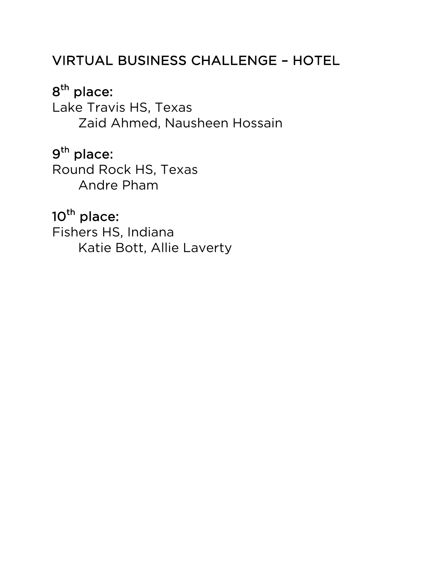#### VIRTUAL BUSINESS CHALLENGE – HOTEL

### 8<sup>th</sup> place:

Lake Travis HS, Texas Zaid Ahmed, Nausheen Hossain

#### 9th place:

Round Rock HS, Texas Andre Pham

### 10<sup>th</sup> place:

Fishers HS, Indiana Katie Bott, Allie Laverty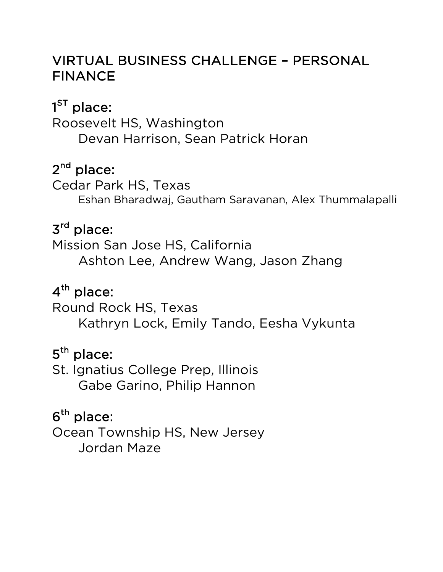#### VIRTUAL BUSINESS CHALLENGE – PERSONAL FINANCE

### $1^\mathsf{ST}$  place:

Roosevelt HS, Washington Devan Harrison, Sean Patrick Horan

### 2<sup>nd</sup> place:

Cedar Park HS, Texas Eshan Bharadwaj, Gautham Saravanan, Alex Thummalapalli

### 3rd place:

Mission San Jose HS, California Ashton Lee, Andrew Wang, Jason Zhang

### 4<sup>th</sup> place:

Round Rock HS, Texas Kathryn Lock, Emily Tando, Eesha Vykunta

### 5<sup>th</sup> place:

St. Ignatius College Prep, Illinois Gabe Garino, Philip Hannon

### $6<sup>th</sup>$  place:

Ocean Township HS, New Jersey Jordan Maze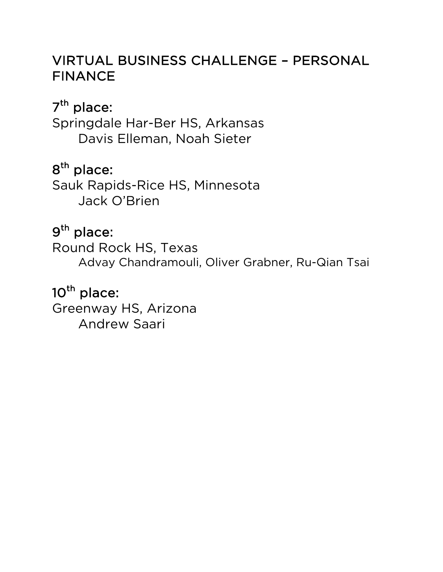#### VIRTUAL BUSINESS CHALLENGE – PERSONAL FINANCE

### 7<sup>th</sup> place:

Springdale Har-Ber HS, Arkansas Davis Elleman, Noah Sieter

### 8<sup>th</sup> place:

Sauk Rapids-Rice HS, Minnesota Jack O'Brien

### 9<sup>th</sup> place:

Round Rock HS, Texas Advay Chandramouli, Oliver Grabner, Ru-Qian Tsai

### 10<sup>th</sup> place:

Greenway HS, Arizona Andrew Saari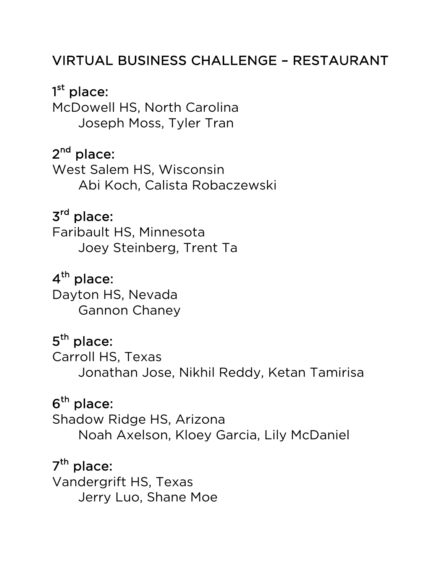#### VIRTUAL BUSINESS CHALLENGE – RESTAURANT

1<sup>st</sup> place: McDowell HS, North Carolina Joseph Moss, Tyler Tran

### 2<sup>nd</sup> place:

West Salem HS, Wisconsin Abi Koch, Calista Robaczewski

### 3rd place:

Faribault HS, Minnesota Joey Steinberg, Trent Ta

### 4<sup>th</sup> place:

Dayton HS, Nevada Gannon Chaney

### 5<sup>th</sup> place:

Carroll HS, Texas Jonathan Jose, Nikhil Reddy, Ketan Tamirisa

#### $6<sup>th</sup>$  place:

Shadow Ridge HS, Arizona Noah Axelson, Kloey Garcia, Lily McDaniel

#### $7<sup>th</sup>$  place:

Vandergrift HS, Texas Jerry Luo, Shane Moe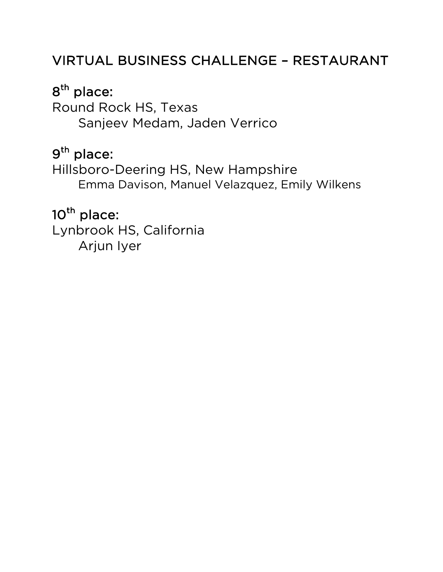#### VIRTUAL BUSINESS CHALLENGE – RESTAURANT

### 8<sup>th</sup> place:

Round Rock HS, Texas Sanjeev Medam, Jaden Verrico

### 9th place:

Hillsboro-Deering HS, New Hampshire Emma Davison, Manuel Velazquez, Emily Wilkens

### 10<sup>th</sup> place:

Lynbrook HS, California Arjun Iyer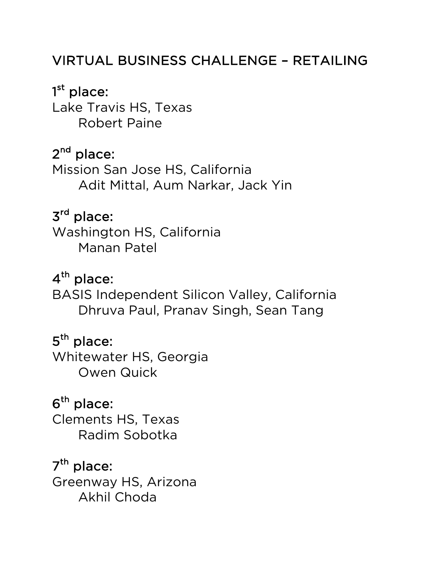#### VIRTUAL BUSINESS CHALLENGE – RETAILING

 $1^{\rm st}$  place: Lake Travis HS, Texas Robert Paine

#### $2<sup>nd</sup>$  place:

Mission San Jose HS, California Adit Mittal, Aum Narkar, Jack Yin

### 3rd place:

Washington HS, California Manan Patel

#### $4<sup>th</sup>$  place:

BASIS Independent Silicon Valley, California Dhruva Paul, Pranav Singh, Sean Tang

#### 5<sup>th</sup> place:

Whitewater HS, Georgia Owen Quick

#### $6<sup>th</sup>$  place:

Clements HS, Texas Radim Sobotka

### $7<sup>th</sup>$  place:

Greenway HS, Arizona Akhil Choda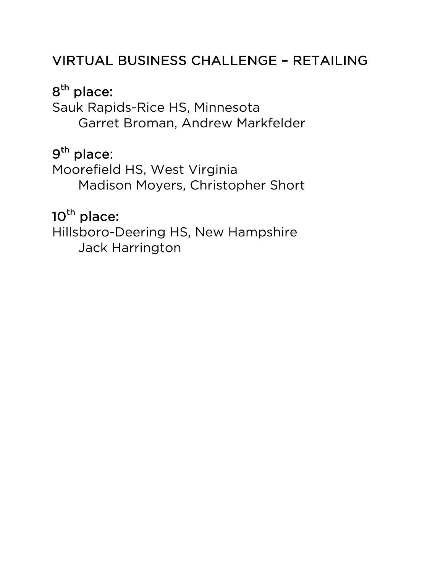### VIRTUAL BUSINESS CHALLENGE – RETAILING

### 8<sup>th</sup> place:

Sauk Rapids-Rice HS, Minnesota Garret Broman, Andrew Markfelder

#### 9<sup>th</sup> place:

Moorefield HS, West Virginia Madison Moyers, Christopher Short

### 10<sup>th</sup> place:

Hillsboro-Deering HS, New Hampshire Jack Harrington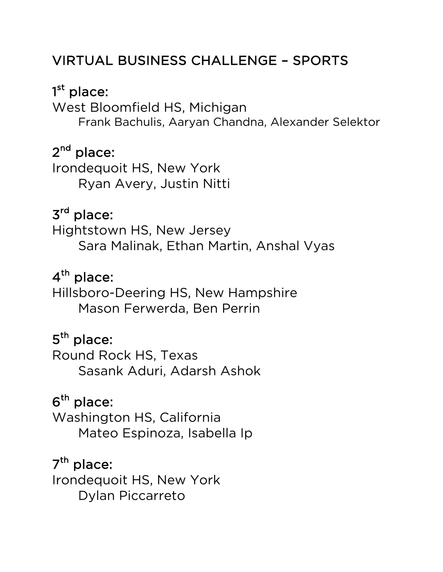#### VIRTUAL BUSINESS CHALLENGE – SPORTS

### 1<sup>st</sup> place:

West Bloomfield HS, Michigan Frank Bachulis, Aaryan Chandna, Alexander Selektor

#### $2<sup>nd</sup>$  place:

Irondequoit HS, New York Ryan Avery, Justin Nitti

#### 3rd place:

Hightstown HS, New Jersey Sara Malinak, Ethan Martin, Anshal Vyas

### $4<sup>th</sup>$  place:

Hillsboro-Deering HS, New Hampshire Mason Ferwerda, Ben Perrin

### 5<sup>th</sup> place:

Round Rock HS, Texas Sasank Aduri, Adarsh Ashok

### $6<sup>th</sup>$  place:

Washington HS, California Mateo Espinoza, Isabella Ip

# 7<sup>th</sup> place: Irondequoit HS, New York

Dylan Piccarreto